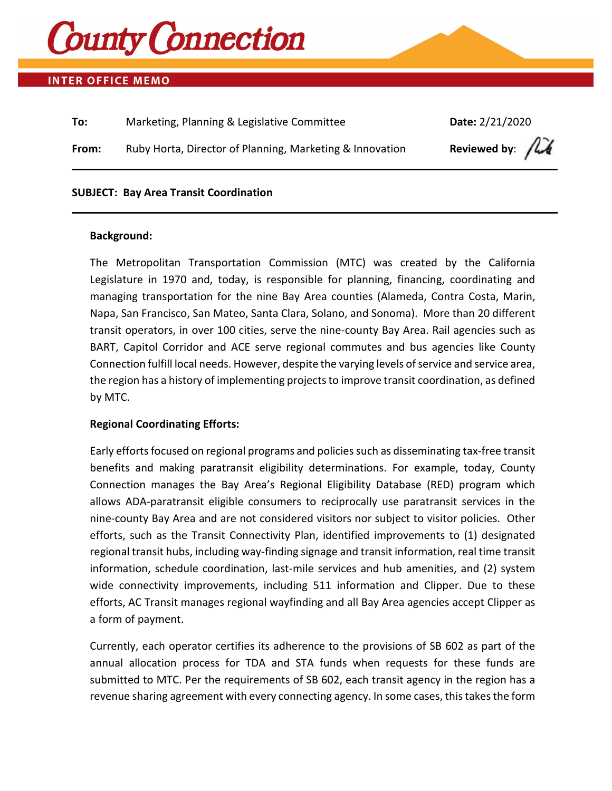

## **INTER OFFICE MEMO**

| To:   | Marketing, Planning & Legislative Committee              | Date: 2/21/2020                           |
|-------|----------------------------------------------------------|-------------------------------------------|
| From: | Ruby Horta, Director of Planning, Marketing & Innovation | Reviewed by: $\int \vec{h} \cdot \vec{h}$ |
|       |                                                          |                                           |

#### **SUBJECT: Bay Area Transit Coordination**

#### **Background:**

The Metropolitan Transportation Commission (MTC) was created by the California Legislature in 1970 and, today, is responsible for planning, financing, coordinating and managing transportation for the nine Bay Area counties (Alameda, Contra Costa, Marin, Napa, San Francisco, San Mateo, Santa Clara, Solano, and Sonoma). More than 20 different transit operators, in over 100 cities, serve the nine-county Bay Area. Rail agencies such as BART, Capitol Corridor and ACE serve regional commutes and bus agencies like County Connection fulfill local needs. However, despite the varying levels of service and service area, the region has a history of implementing projects to improve transit coordination, as defined by MTC.

### **Regional Coordinating Efforts:**

Early efforts focused on regional programs and policies such as disseminating tax-free transit benefits and making paratransit eligibility determinations. For example, today, County Connection manages the Bay Area's Regional Eligibility Database (RED) program which allows ADA-paratransit eligible consumers to reciprocally use paratransit services in the nine-county Bay Area and are not considered visitors nor subject to visitor policies. Other efforts, such as the Transit Connectivity Plan, identified improvements to (1) designated regional transit hubs, including way-finding signage and transit information, real time transit information, schedule coordination, last-mile services and hub amenities, and (2) system wide connectivity improvements, including 511 information and Clipper. Due to these efforts, AC Transit manages regional wayfinding and all Bay Area agencies accept Clipper as a form of payment.

Currently, each operator certifies its adherence to the provisions of SB 602 as part of the annual allocation process for TDA and STA funds when requests for these funds are submitted to MTC. Per the requirements of SB 602, each transit agency in the region has a revenue sharing agreement with every connecting agency. In some cases, this takes the form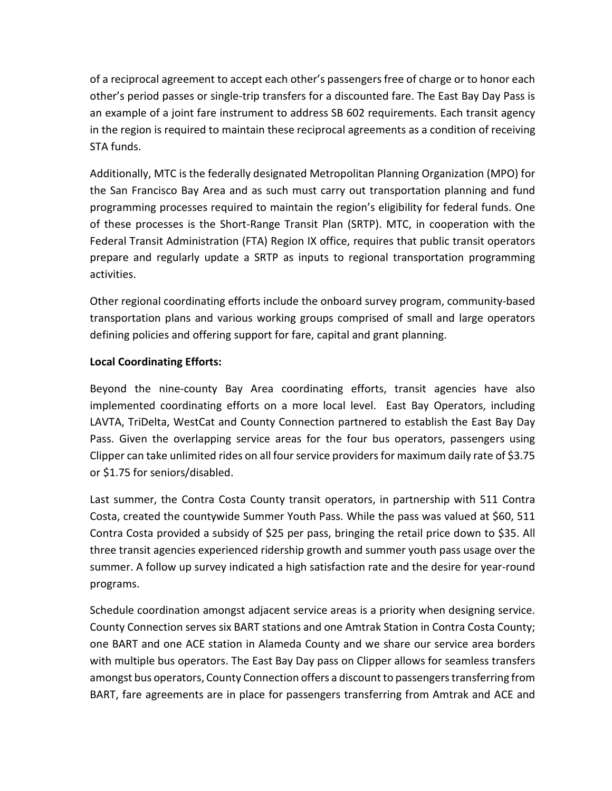of a reciprocal agreement to accept each other's passengers free of charge or to honor each other's period passes or single-trip transfers for a discounted fare. The East Bay Day Pass is an example of a joint fare instrument to address SB 602 requirements. Each transit agency in the region is required to maintain these reciprocal agreements as a condition of receiving STA funds.

Additionally, MTC is the federally designated Metropolitan Planning Organization (MPO) for the San Francisco Bay Area and as such must carry out transportation planning and fund programming processes required to maintain the region's eligibility for federal funds. One of these processes is the Short-Range Transit Plan (SRTP). MTC, in cooperation with the Federal Transit Administration (FTA) Region IX office, requires that public transit operators prepare and regularly update a SRTP as inputs to regional transportation programming activities.

Other regional coordinating efforts include the onboard survey program, community-based transportation plans and various working groups comprised of small and large operators defining policies and offering support for fare, capital and grant planning.

# **Local Coordinating Efforts:**

Beyond the nine-county Bay Area coordinating efforts, transit agencies have also implemented coordinating efforts on a more local level. East Bay Operators, including LAVTA, TriDelta, WestCat and County Connection partnered to establish the East Bay Day Pass. Given the overlapping service areas for the four bus operators, passengers using Clipper can take unlimited rides on all four service providers for maximum daily rate of \$3.75 or \$1.75 for seniors/disabled.

Last summer, the Contra Costa County transit operators, in partnership with 511 Contra Costa, created the countywide Summer Youth Pass. While the pass was valued at \$60, 511 Contra Costa provided a subsidy of \$25 per pass, bringing the retail price down to \$35. All three transit agencies experienced ridership growth and summer youth pass usage over the summer. A follow up survey indicated a high satisfaction rate and the desire for year-round programs.

Schedule coordination amongst adjacent service areas is a priority when designing service. County Connection serves six BART stations and one Amtrak Station in Contra Costa County; one BART and one ACE station in Alameda County and we share our service area borders with multiple bus operators. The East Bay Day pass on Clipper allows for seamless transfers amongst bus operators, County Connection offers a discount to passengers transferring from BART, fare agreements are in place for passengers transferring from Amtrak and ACE and